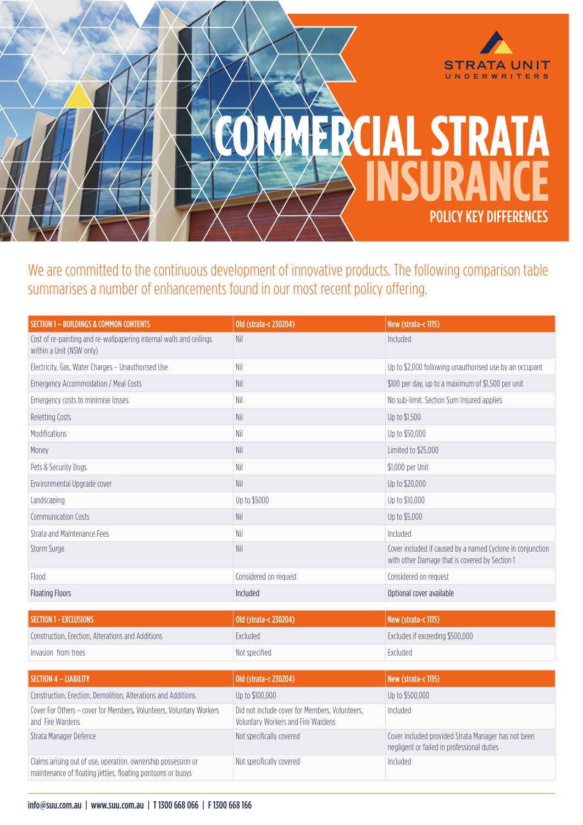

We are committed to the continuous development of innovative products. The following comparison table summarises a number of enhancements found in our most recent policy offering.

| Old (strata-c 230204)              | New (strata-c 1115)                                                                                          |
|------------------------------------|--------------------------------------------------------------------------------------------------------------|
| <b>Nil</b>                         | Included                                                                                                     |
| Nil                                | Up to \$2,000 following unauthorised use by an occupant                                                      |
| Nil                                | \$100 per day, up to a maximum of \$1,500 per unit                                                           |
| Nil                                | No sub-limit. Section Sum Insured applies                                                                    |
| Nil                                | Up to \$1,500                                                                                                |
| Nil                                | Up to \$50,000                                                                                               |
| Nil                                | Limited to \$25,000                                                                                          |
| Nil                                | \$1,000 per Unit                                                                                             |
| Nil                                | Up to \$20,000                                                                                               |
| Up to \$5000                       | Up to \$10,000                                                                                               |
| <b>Nil</b>                         | Up to \$5,000                                                                                                |
| Nil                                | Included                                                                                                     |
| Nil                                | Cover included if caused by a named Cyclone in conjunction<br>with other Damage that is covered by Section 1 |
| Considered on request              | Considered on request                                                                                        |
| Included                           | Optional cover available                                                                                     |
| Old (strata-c 230204)              | New (strata-c 1115)                                                                                          |
| Excluded                           | Excludes if exceeding \$500,000                                                                              |
| Not specified                      | Excluded                                                                                                     |
|                                    |                                                                                                              |
|                                    | New (strata-c 1115)                                                                                          |
|                                    | Up to \$500,000                                                                                              |
| Voluntary Workers and Fire Wardens | Included                                                                                                     |
| Not specifically covered           | Cover included provided Strata Manager has not been<br>negligent or failed in professional duties            |
| Not specifically covered           | Included                                                                                                     |
|                                    | Old (strata-c 230204)<br>Up to \$100,000<br>Did not include cover for Members, Volunteers,                   |